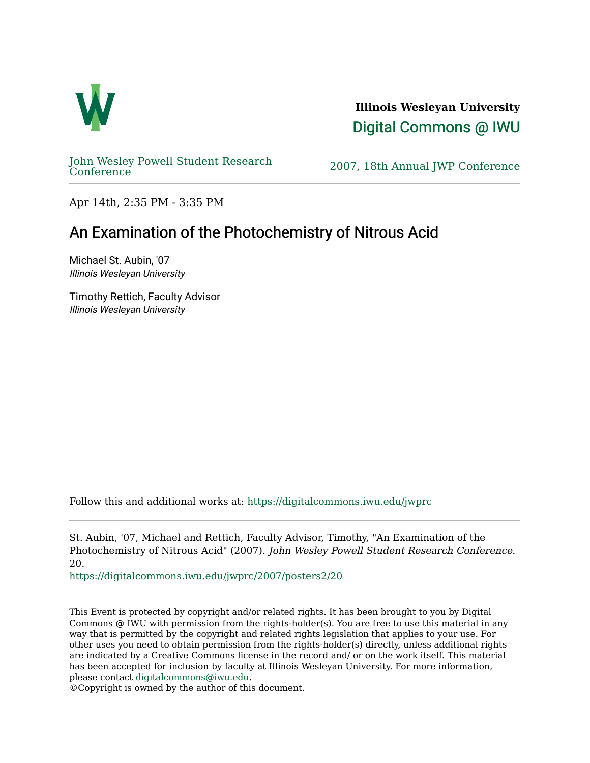

**Illinois Wesleyan University**  [Digital Commons @ IWU](https://digitalcommons.iwu.edu/) 

[John Wesley Powell Student Research](https://digitalcommons.iwu.edu/jwprc) 

2007, 18th Annual JWP [Conference](https://digitalcommons.iwu.edu/jwprc)

Apr 14th, 2:35 PM - 3:35 PM

## An Examination of the Photochemistry of Nitrous Acid

Michael St. Aubin, '07 Illinois Wesleyan University

Timothy Rettich, Faculty Advisor Illinois Wesleyan University

Follow this and additional works at: [https://digitalcommons.iwu.edu/jwprc](https://digitalcommons.iwu.edu/jwprc?utm_source=digitalcommons.iwu.edu%2Fjwprc%2F2007%2Fposters2%2F20&utm_medium=PDF&utm_campaign=PDFCoverPages) 

St. Aubin, '07, Michael and Rettich, Faculty Advisor, Timothy, "An Examination of the Photochemistry of Nitrous Acid" (2007). John Wesley Powell Student Research Conference. 20.

[https://digitalcommons.iwu.edu/jwprc/2007/posters2/20](https://digitalcommons.iwu.edu/jwprc/2007/posters2/20?utm_source=digitalcommons.iwu.edu%2Fjwprc%2F2007%2Fposters2%2F20&utm_medium=PDF&utm_campaign=PDFCoverPages) 

This Event is protected by copyright and/or related rights. It has been brought to you by Digital Commons @ IWU with permission from the rights-holder(s). You are free to use this material in any way that is permitted by the copyright and related rights legislation that applies to your use. For other uses you need to obtain permission from the rights-holder(s) directly, unless additional rights are indicated by a Creative Commons license in the record and/ or on the work itself. This material has been accepted for inclusion by faculty at Illinois Wesleyan University. For more information, please contact [digitalcommons@iwu.edu.](mailto:digitalcommons@iwu.edu)

©Copyright is owned by the author of this document.